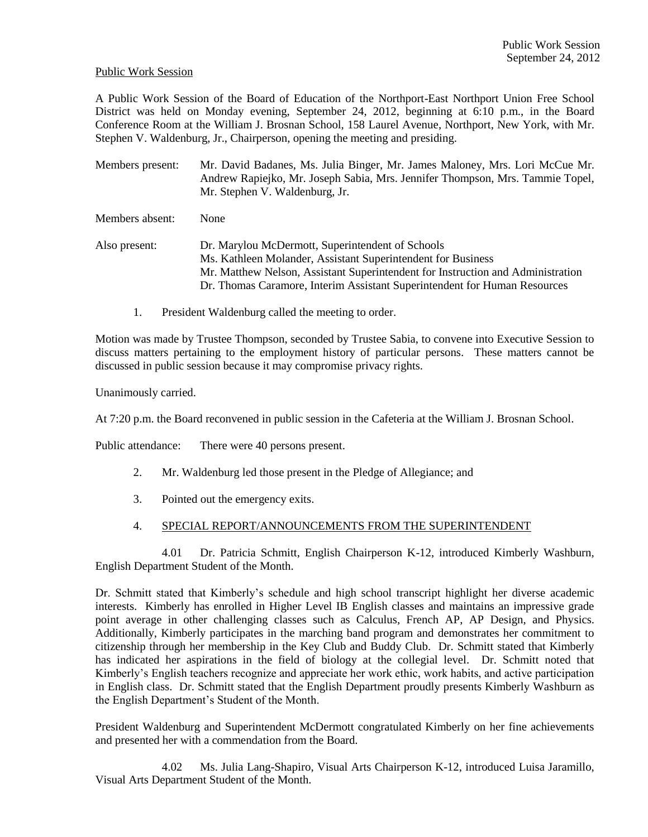#### Public Work Session

A Public Work Session of the Board of Education of the Northport-East Northport Union Free School District was held on Monday evening, September 24, 2012, beginning at 6:10 p.m., in the Board Conference Room at the William J. Brosnan School, 158 Laurel Avenue, Northport, New York, with Mr. Stephen V. Waldenburg, Jr., Chairperson, opening the meeting and presiding.

Members present: Mr. David Badanes, Ms. Julia Binger, Mr. James Maloney, Mrs. Lori McCue Mr. Andrew Rapiejko, Mr. Joseph Sabia, Mrs. Jennifer Thompson, Mrs. Tammie Topel, Mr. Stephen V. Waldenburg, Jr.

Members absent: None

Also present: Dr. Marylou McDermott, Superintendent of Schools Ms. Kathleen Molander, Assistant Superintendent for Business Mr. Matthew Nelson, Assistant Superintendent for Instruction and Administration Dr. Thomas Caramore, Interim Assistant Superintendent for Human Resources

1. President Waldenburg called the meeting to order.

Motion was made by Trustee Thompson, seconded by Trustee Sabia, to convene into Executive Session to discuss matters pertaining to the employment history of particular persons. These matters cannot be discussed in public session because it may compromise privacy rights.

Unanimously carried.

At 7:20 p.m. the Board reconvened in public session in the Cafeteria at the William J. Brosnan School.

Public attendance: There were 40 persons present.

- 2. Mr. Waldenburg led those present in the Pledge of Allegiance; and
- 3. Pointed out the emergency exits.
- 4. SPECIAL REPORT/ANNOUNCEMENTS FROM THE SUPERINTENDENT

4.01 Dr. Patricia Schmitt, English Chairperson K-12, introduced Kimberly Washburn, English Department Student of the Month.

Dr. Schmitt stated that Kimberly's schedule and high school transcript highlight her diverse academic interests. Kimberly has enrolled in Higher Level IB English classes and maintains an impressive grade point average in other challenging classes such as Calculus, French AP, AP Design, and Physics. Additionally, Kimberly participates in the marching band program and demonstrates her commitment to citizenship through her membership in the Key Club and Buddy Club. Dr. Schmitt stated that Kimberly has indicated her aspirations in the field of biology at the collegial level. Dr. Schmitt noted that Kimberly's English teachers recognize and appreciate her work ethic, work habits, and active participation in English class. Dr. Schmitt stated that the English Department proudly presents Kimberly Washburn as the English Department's Student of the Month.

President Waldenburg and Superintendent McDermott congratulated Kimberly on her fine achievements and presented her with a commendation from the Board.

4.02 Ms. Julia Lang-Shapiro, Visual Arts Chairperson K-12, introduced Luisa Jaramillo, Visual Arts Department Student of the Month.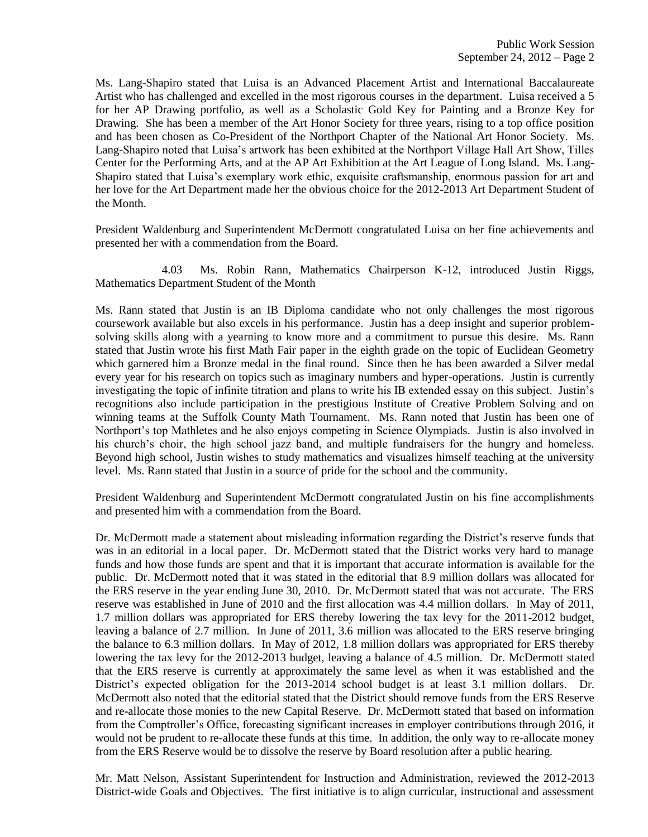Ms. Lang-Shapiro stated that Luisa is an Advanced Placement Artist and International Baccalaureate Artist who has challenged and excelled in the most rigorous courses in the department. Luisa received a 5 for her AP Drawing portfolio, as well as a Scholastic Gold Key for Painting and a Bronze Key for Drawing. She has been a member of the Art Honor Society for three years, rising to a top office position and has been chosen as Co-President of the Northport Chapter of the National Art Honor Society. Ms. Lang-Shapiro noted that Luisa's artwork has been exhibited at the Northport Village Hall Art Show, Tilles Center for the Performing Arts, and at the AP Art Exhibition at the Art League of Long Island. Ms. Lang-Shapiro stated that Luisa's exemplary work ethic, exquisite craftsmanship, enormous passion for art and her love for the Art Department made her the obvious choice for the 2012-2013 Art Department Student of the Month.

President Waldenburg and Superintendent McDermott congratulated Luisa on her fine achievements and presented her with a commendation from the Board.

4.03 Ms. Robin Rann, Mathematics Chairperson K-12, introduced Justin Riggs, Mathematics Department Student of the Month

Ms. Rann stated that Justin is an IB Diploma candidate who not only challenges the most rigorous coursework available but also excels in his performance. Justin has a deep insight and superior problemsolving skills along with a yearning to know more and a commitment to pursue this desire. Ms. Rann stated that Justin wrote his first Math Fair paper in the eighth grade on the topic of Euclidean Geometry which garnered him a Bronze medal in the final round. Since then he has been awarded a Silver medal every year for his research on topics such as imaginary numbers and hyper-operations. Justin is currently investigating the topic of infinite titration and plans to write his IB extended essay on this subject. Justin's recognitions also include participation in the prestigious Institute of Creative Problem Solving and on winning teams at the Suffolk County Math Tournament. Ms. Rann noted that Justin has been one of Northport's top Mathletes and he also enjoys competing in Science Olympiads. Justin is also involved in his church's choir, the high school jazz band, and multiple fundraisers for the hungry and homeless. Beyond high school, Justin wishes to study mathematics and visualizes himself teaching at the university level. Ms. Rann stated that Justin in a source of pride for the school and the community.

President Waldenburg and Superintendent McDermott congratulated Justin on his fine accomplishments and presented him with a commendation from the Board.

Dr. McDermott made a statement about misleading information regarding the District's reserve funds that was in an editorial in a local paper. Dr. McDermott stated that the District works very hard to manage funds and how those funds are spent and that it is important that accurate information is available for the public. Dr. McDermott noted that it was stated in the editorial that 8.9 million dollars was allocated for the ERS reserve in the year ending June 30, 2010. Dr. McDermott stated that was not accurate. The ERS reserve was established in June of 2010 and the first allocation was 4.4 million dollars. In May of 2011, 1.7 million dollars was appropriated for ERS thereby lowering the tax levy for the 2011-2012 budget, leaving a balance of 2.7 million. In June of 2011, 3.6 million was allocated to the ERS reserve bringing the balance to 6.3 million dollars. In May of 2012, 1.8 million dollars was appropriated for ERS thereby lowering the tax levy for the 2012-2013 budget, leaving a balance of 4.5 million. Dr. McDermott stated that the ERS reserve is currently at approximately the same level as when it was established and the District's expected obligation for the 2013-2014 school budget is at least 3.1 million dollars. Dr. McDermott also noted that the editorial stated that the District should remove funds from the ERS Reserve and re-allocate those monies to the new Capital Reserve. Dr. McDermott stated that based on information from the Comptroller's Office, forecasting significant increases in employer contributions through 2016, it would not be prudent to re-allocate these funds at this time. In addition, the only way to re-allocate money from the ERS Reserve would be to dissolve the reserve by Board resolution after a public hearing.

Mr. Matt Nelson, Assistant Superintendent for Instruction and Administration, reviewed the 2012-2013 District-wide Goals and Objectives. The first initiative is to align curricular, instructional and assessment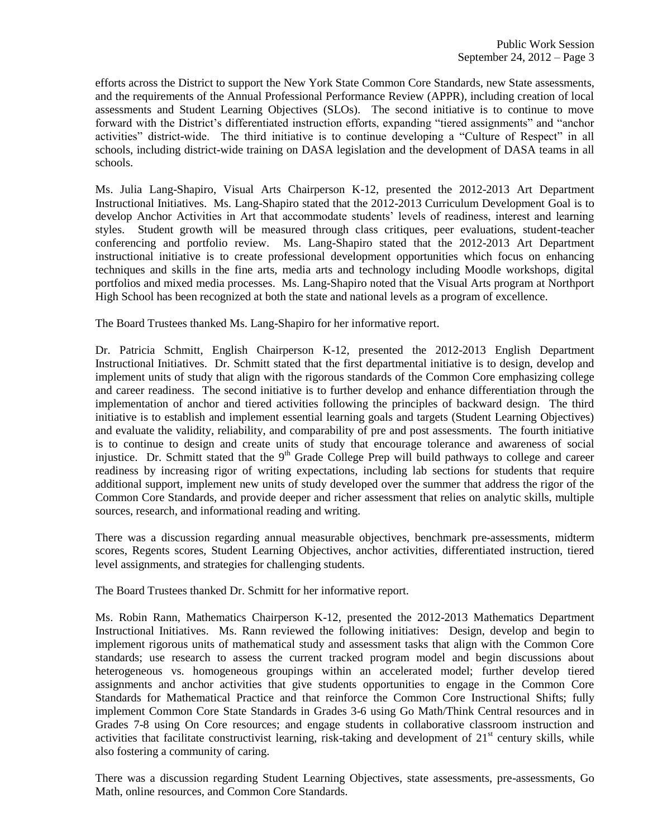efforts across the District to support the New York State Common Core Standards, new State assessments, and the requirements of the Annual Professional Performance Review (APPR), including creation of local assessments and Student Learning Objectives (SLOs). The second initiative is to continue to move forward with the District's differentiated instruction efforts, expanding "tiered assignments" and "anchor activities" district-wide. The third initiative is to continue developing a "Culture of Respect" in all schools, including district-wide training on DASA legislation and the development of DASA teams in all schools.

Ms. Julia Lang-Shapiro, Visual Arts Chairperson K-12, presented the 2012-2013 Art Department Instructional Initiatives. Ms. Lang-Shapiro stated that the 2012-2013 Curriculum Development Goal is to develop Anchor Activities in Art that accommodate students' levels of readiness, interest and learning styles. Student growth will be measured through class critiques, peer evaluations, student-teacher conferencing and portfolio review. Ms. Lang-Shapiro stated that the 2012-2013 Art Department instructional initiative is to create professional development opportunities which focus on enhancing techniques and skills in the fine arts, media arts and technology including Moodle workshops, digital portfolios and mixed media processes. Ms. Lang-Shapiro noted that the Visual Arts program at Northport High School has been recognized at both the state and national levels as a program of excellence.

The Board Trustees thanked Ms. Lang-Shapiro for her informative report.

Dr. Patricia Schmitt, English Chairperson K-12, presented the 2012-2013 English Department Instructional Initiatives. Dr. Schmitt stated that the first departmental initiative is to design, develop and implement units of study that align with the rigorous standards of the Common Core emphasizing college and career readiness. The second initiative is to further develop and enhance differentiation through the implementation of anchor and tiered activities following the principles of backward design. The third initiative is to establish and implement essential learning goals and targets (Student Learning Objectives) and evaluate the validity, reliability, and comparability of pre and post assessments. The fourth initiative is to continue to design and create units of study that encourage tolerance and awareness of social injustice. Dr. Schmitt stated that the 9<sup>th</sup> Grade College Prep will build pathways to college and career readiness by increasing rigor of writing expectations, including lab sections for students that require additional support, implement new units of study developed over the summer that address the rigor of the Common Core Standards, and provide deeper and richer assessment that relies on analytic skills, multiple sources, research, and informational reading and writing.

There was a discussion regarding annual measurable objectives, benchmark pre-assessments, midterm scores, Regents scores, Student Learning Objectives, anchor activities, differentiated instruction, tiered level assignments, and strategies for challenging students.

The Board Trustees thanked Dr. Schmitt for her informative report.

Ms. Robin Rann, Mathematics Chairperson K-12, presented the 2012-2013 Mathematics Department Instructional Initiatives. Ms. Rann reviewed the following initiatives: Design, develop and begin to implement rigorous units of mathematical study and assessment tasks that align with the Common Core standards; use research to assess the current tracked program model and begin discussions about heterogeneous vs. homogeneous groupings within an accelerated model; further develop tiered assignments and anchor activities that give students opportunities to engage in the Common Core Standards for Mathematical Practice and that reinforce the Common Core Instructional Shifts; fully implement Common Core State Standards in Grades 3-6 using Go Math/Think Central resources and in Grades 7-8 using On Core resources; and engage students in collaborative classroom instruction and activities that facilitate constructivist learning, risk-taking and development of  $21<sup>st</sup>$  century skills, while also fostering a community of caring.

There was a discussion regarding Student Learning Objectives, state assessments, pre-assessments, Go Math, online resources, and Common Core Standards.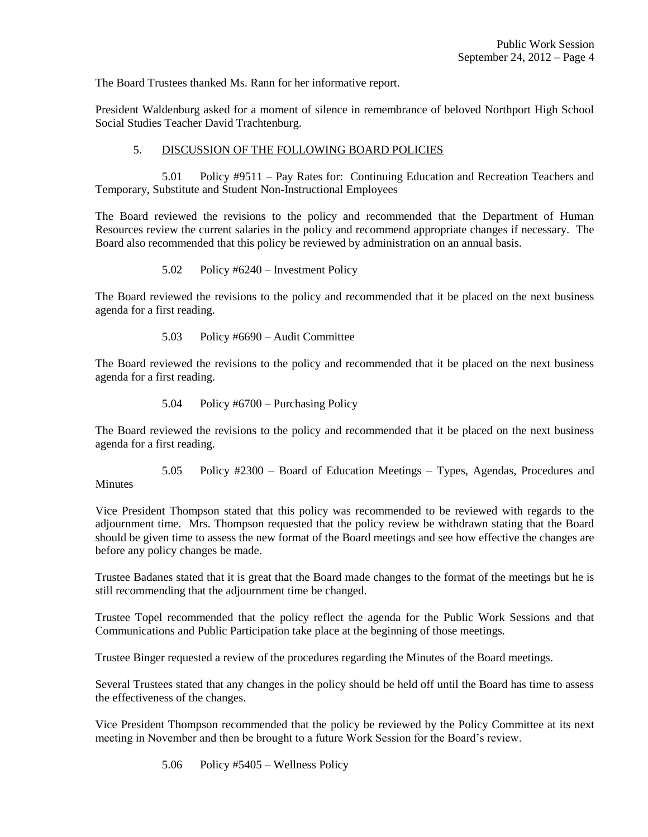The Board Trustees thanked Ms. Rann for her informative report.

President Waldenburg asked for a moment of silence in remembrance of beloved Northport High School Social Studies Teacher David Trachtenburg.

## 5. DISCUSSION OF THE FOLLOWING BOARD POLICIES

5.01 Policy #9511 – Pay Rates for: Continuing Education and Recreation Teachers and Temporary, Substitute and Student Non-Instructional Employees

The Board reviewed the revisions to the policy and recommended that the Department of Human Resources review the current salaries in the policy and recommend appropriate changes if necessary. The Board also recommended that this policy be reviewed by administration on an annual basis.

5.02 Policy #6240 – Investment Policy

The Board reviewed the revisions to the policy and recommended that it be placed on the next business agenda for a first reading.

5.03 Policy #6690 – Audit Committee

The Board reviewed the revisions to the policy and recommended that it be placed on the next business agenda for a first reading.

5.04 Policy #6700 – Purchasing Policy

The Board reviewed the revisions to the policy and recommended that it be placed on the next business agenda for a first reading.

5.05 Policy #2300 – Board of Education Meetings – Types, Agendas, Procedures and **Minutes** 

Vice President Thompson stated that this policy was recommended to be reviewed with regards to the adjournment time. Mrs. Thompson requested that the policy review be withdrawn stating that the Board should be given time to assess the new format of the Board meetings and see how effective the changes are before any policy changes be made.

Trustee Badanes stated that it is great that the Board made changes to the format of the meetings but he is still recommending that the adjournment time be changed.

Trustee Topel recommended that the policy reflect the agenda for the Public Work Sessions and that Communications and Public Participation take place at the beginning of those meetings.

Trustee Binger requested a review of the procedures regarding the Minutes of the Board meetings.

Several Trustees stated that any changes in the policy should be held off until the Board has time to assess the effectiveness of the changes.

Vice President Thompson recommended that the policy be reviewed by the Policy Committee at its next meeting in November and then be brought to a future Work Session for the Board's review.

5.06 Policy #5405 – Wellness Policy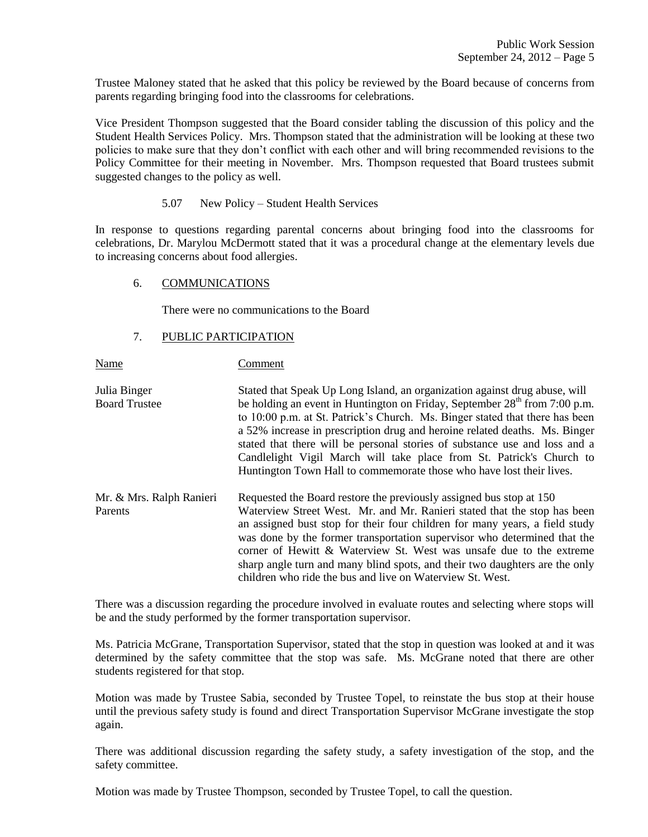Trustee Maloney stated that he asked that this policy be reviewed by the Board because of concerns from parents regarding bringing food into the classrooms for celebrations.

Vice President Thompson suggested that the Board consider tabling the discussion of this policy and the Student Health Services Policy. Mrs. Thompson stated that the administration will be looking at these two policies to make sure that they don't conflict with each other and will bring recommended revisions to the Policy Committee for their meeting in November. Mrs. Thompson requested that Board trustees submit suggested changes to the policy as well.

5.07 New Policy – Student Health Services

In response to questions regarding parental concerns about bringing food into the classrooms for celebrations, Dr. Marylou McDermott stated that it was a procedural change at the elementary levels due to increasing concerns about food allergies.

### 6. COMMUNICATIONS

There were no communications to the Board

## 7. PUBLIC PARTICIPATION

Name Comment

Julia Binger Stated that Speak Up Long Island, an organization against drug abuse, will Board Trustee be holding an event in Huntington on Friday, September 28<sup>th</sup> from 7:00 p.m. to 10:00 p.m. at St. Patrick's Church. Ms. Binger stated that there has been a 52% increase in prescription drug and heroine related deaths. Ms. Binger stated that there will be personal stories of substance use and loss and a Candlelight Vigil March will take place from St. Patrick's Church to Huntington Town Hall to commemorate those who have lost their lives. Mr. & Mrs. Ralph Ranieri Requested the Board restore the previously assigned bus stop at 150

Parents Waterview Street West. Mr. and Mr. Ranieri stated that the stop has been an assigned bust stop for their four children for many years, a field study was done by the former transportation supervisor who determined that the corner of Hewitt & Waterview St. West was unsafe due to the extreme sharp angle turn and many blind spots, and their two daughters are the only children who ride the bus and live on Waterview St. West.

There was a discussion regarding the procedure involved in evaluate routes and selecting where stops will be and the study performed by the former transportation supervisor.

Ms. Patricia McGrane, Transportation Supervisor, stated that the stop in question was looked at and it was determined by the safety committee that the stop was safe. Ms. McGrane noted that there are other students registered for that stop.

Motion was made by Trustee Sabia, seconded by Trustee Topel, to reinstate the bus stop at their house until the previous safety study is found and direct Transportation Supervisor McGrane investigate the stop again.

There was additional discussion regarding the safety study, a safety investigation of the stop, and the safety committee.

Motion was made by Trustee Thompson, seconded by Trustee Topel, to call the question.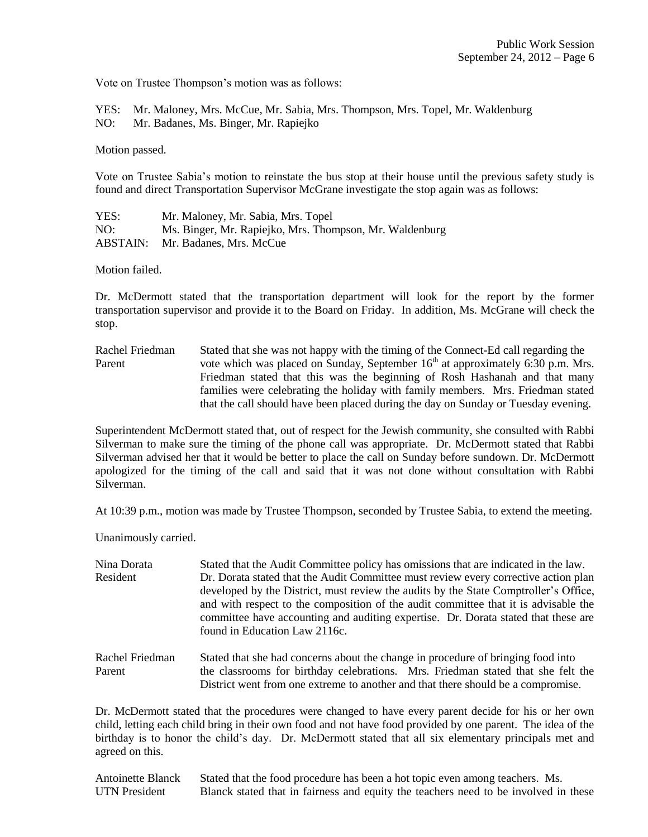Vote on Trustee Thompson's motion was as follows:

YES: Mr. Maloney, Mrs. McCue, Mr. Sabia, Mrs. Thompson, Mrs. Topel, Mr. Waldenburg NO: Mr. Badanes, Ms. Binger, Mr. Rapiejko

Motion passed.

Vote on Trustee Sabia's motion to reinstate the bus stop at their house until the previous safety study is found and direct Transportation Supervisor McGrane investigate the stop again was as follows:

YES: Mr. Maloney, Mr. Sabia, Mrs. Topel NO: Ms. Binger, Mr. Rapiejko, Mrs. Thompson, Mr. Waldenburg ABSTAIN: Mr. Badanes, Mrs. McCue

Motion failed.

Dr. McDermott stated that the transportation department will look for the report by the former transportation supervisor and provide it to the Board on Friday. In addition, Ms. McGrane will check the stop.

Rachel Friedman Stated that she was not happy with the timing of the Connect-Ed call regarding the Parent vote which was placed on Sunday, September  $16<sup>th</sup>$  at approximately 6:30 p.m. Mrs. Friedman stated that this was the beginning of Rosh Hashanah and that many families were celebrating the holiday with family members. Mrs. Friedman stated that the call should have been placed during the day on Sunday or Tuesday evening.

Superintendent McDermott stated that, out of respect for the Jewish community, she consulted with Rabbi Silverman to make sure the timing of the phone call was appropriate. Dr. McDermott stated that Rabbi Silverman advised her that it would be better to place the call on Sunday before sundown. Dr. McDermott apologized for the timing of the call and said that it was not done without consultation with Rabbi Silverman.

At 10:39 p.m., motion was made by Trustee Thompson, seconded by Trustee Sabia, to extend the meeting.

Unanimously carried.

| Nina Dorata | Stated that the Audit Committee policy has omissions that are indicated in the law.  |
|-------------|--------------------------------------------------------------------------------------|
| Resident    | Dr. Dorata stated that the Audit Committee must review every corrective action plan  |
|             | developed by the District, must review the audits by the State Comptroller's Office, |
|             | and with respect to the composition of the audit committee that it is advisable the  |
|             | committee have accounting and auditing expertise. Dr. Dorata stated that these are   |
|             | found in Education Law 2116c.                                                        |
|             |                                                                                      |

Rachel Friedman Stated that she had concerns about the change in procedure of bringing food into Parent the classrooms for birthday celebrations. Mrs. Friedman stated that she felt the District went from one extreme to another and that there should be a compromise.

Dr. McDermott stated that the procedures were changed to have every parent decide for his or her own child, letting each child bring in their own food and not have food provided by one parent. The idea of the birthday is to honor the child's day. Dr. McDermott stated that all six elementary principals met and agreed on this.

Antoinette Blanck Stated that the food procedure has been a hot topic even among teachers. Ms. UTN President Blanck stated that in fairness and equity the teachers need to be involved in these